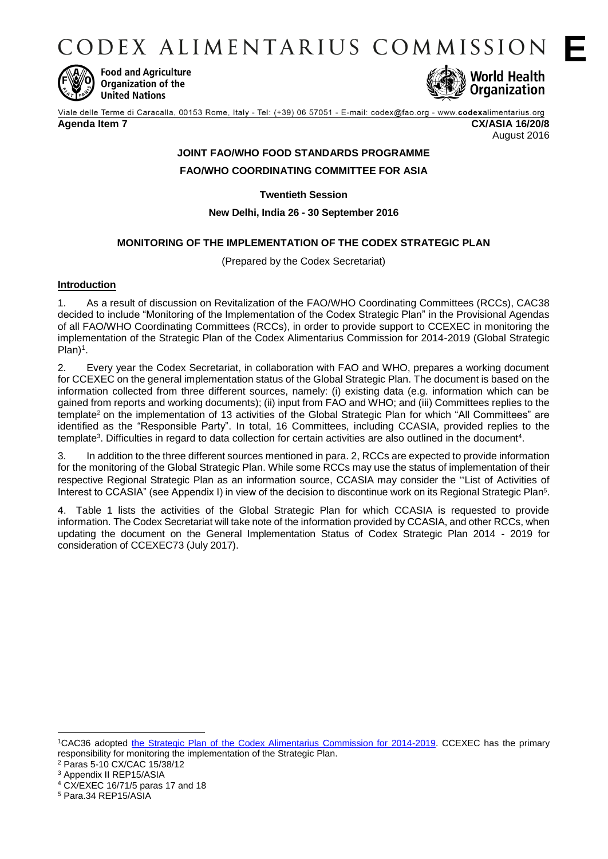CODEX ALIMENTARIUS COMMISSION



**Food and Agriculture** Organization of the **United Nations** 



Viale delle Terme di Caracalla, 00153 Rome, Italy - Tel: (+39) 06 57051 - E-mail: codex@fao.org - www.codexalimentarius.org **Agenda Item 7 CX/ASIA 16/20/8** August 2016

# **JOINT FAO/WHO FOOD STANDARDS PROGRAMME**

**FAO/WHO COORDINATING COMMITTEE FOR ASIA**

**Twentieth Session**

# **New Delhi, India 26 - 30 September 2016**

# **MONITORING OF THE IMPLEMENTATION OF THE CODEX STRATEGIC PLAN**

(Prepared by the Codex Secretariat)

# **Introduction**

1. As a result of discussion on Revitalization of the FAO/WHO Coordinating Committees (RCCs), CAC38 decided to include "Monitoring of the Implementation of the Codex Strategic Plan" in the Provisional Agendas of all FAO/WHO Coordinating Committees (RCCs), in order to provide support to CCEXEC in monitoring the implementation of the Strategic Plan of the Codex Alimentarius Commission for 2014-2019 (Global Strategic Plan)<sup>1</sup>.

2. Every year the Codex Secretariat, in collaboration with FAO and WHO, prepares a working document for CCEXEC on the general implementation status of the Global Strategic Plan. The document is based on the information collected from three different sources, namely: (i) existing data (e.g. information which can be gained from reports and working documents); (ii) input from FAO and WHO; and (iii) Committees replies to the template<sup>2</sup> on the implementation of 13 activities of the Global Strategic Plan for which "All Committees" are identified as the "Responsible Party". In total, 16 Committees, including CCASIA, provided replies to the template<sup>3</sup>. Difficulties in regard to data collection for certain activities are also outlined in the document<sup>4</sup>.

3. In addition to the three different sources mentioned in para. 2, RCCs are expected to provide information for the monitoring of the Global Strategic Plan. While some RCCs may use the status of implementation of their respective Regional Strategic Plan as an information source, CCASIA may consider the "List of Activities of Interest to CCASIA" (see Appendix I) in view of the decision to discontinue work on its Regional Strategic Plan<sup>5</sup>.

4. Table 1 lists the activities of the Global Strategic Plan for which CCASIA is requested to provide information. The Codex Secretariat will take note of the information provided by CCASIA, and other RCCs, when updating the document on the General Implementation Status of Codex Strategic Plan 2014 - 2019 for consideration of CCEXEC73 (July 2017).

-

<sup>1</sup>CAC36 adopted [the Strategic Plan of the Codex Alimentarius Commission for 2014-2019.](ftp://ftp.fao.org/codex/Publications/StrategicFrame/Strategic_plan_2014_2019_EN.pdf) CCEXEC has the primary responsibility for monitoring the implementation of the Strategic Plan.

<sup>2</sup> Paras 5-10 CX/CAC 15/38/12

<sup>3</sup> Appendix II REP15/ASIA

<sup>4</sup> CX/EXEC 16/71/5 paras 17 and 18

<sup>5</sup> Para.34 REP15/ASIA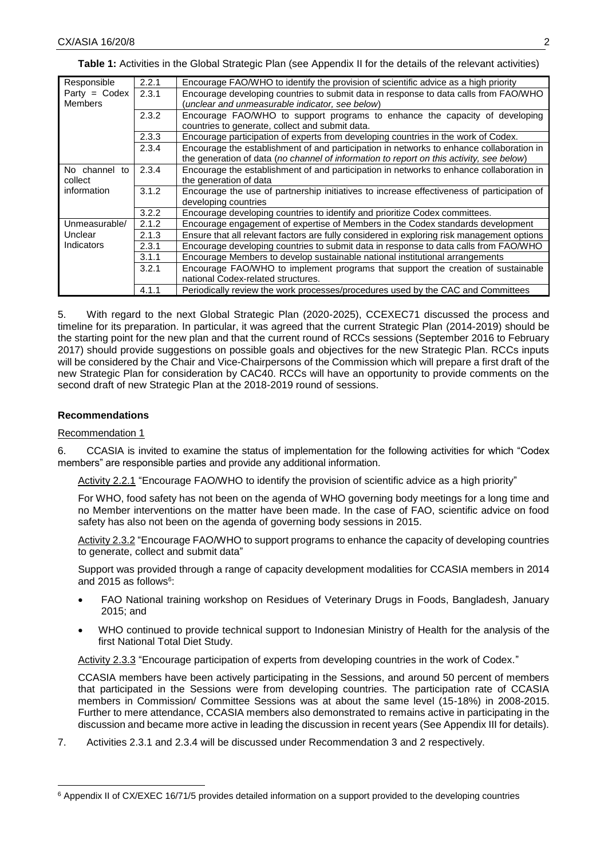| Responsible     | 2.2.1 | Encourage FAO/WHO to identify the provision of scientific advice as a high priority        |  |  |  |  |  |
|-----------------|-------|--------------------------------------------------------------------------------------------|--|--|--|--|--|
| $Party = Codex$ | 2.3.1 | Encourage developing countries to submit data in response to data calls from FAO/WHO       |  |  |  |  |  |
| <b>Members</b>  |       | (unclear and unmeasurable indicator, see below)                                            |  |  |  |  |  |
|                 | 2.3.2 | Encourage FAO/WHO to support programs to enhance the capacity of developing                |  |  |  |  |  |
|                 |       | countries to generate, collect and submit data.                                            |  |  |  |  |  |
|                 | 2.3.3 | Encourage participation of experts from developing countries in the work of Codex.         |  |  |  |  |  |
|                 | 2.3.4 | Encourage the establishment of and participation in networks to enhance collaboration in   |  |  |  |  |  |
|                 |       | the generation of data (no channel of information to report on this activity, see below)   |  |  |  |  |  |
| No channel to   | 2.3.4 | Encourage the establishment of and participation in networks to enhance collaboration in   |  |  |  |  |  |
| collect         |       | the generation of data                                                                     |  |  |  |  |  |
| information     | 3.1.2 | Encourage the use of partnership initiatives to increase effectiveness of participation of |  |  |  |  |  |
|                 |       | developing countries                                                                       |  |  |  |  |  |
|                 | 3.2.2 | Encourage developing countries to identify and prioritize Codex committees.                |  |  |  |  |  |
| Unmeasurable/   | 2.1.2 | Encourage engagement of expertise of Members in the Codex standards development            |  |  |  |  |  |
| Unclear         | 2.1.3 | Ensure that all relevant factors are fully considered in exploring risk management options |  |  |  |  |  |
| Indicators      | 2.3.1 | Encourage developing countries to submit data in response to data calls from FAO/WHO       |  |  |  |  |  |
|                 | 3.1.1 | Encourage Members to develop sustainable national institutional arrangements               |  |  |  |  |  |
|                 | 3.2.1 | Encourage FAO/WHO to implement programs that support the creation of sustainable           |  |  |  |  |  |
|                 |       | national Codex-related structures.                                                         |  |  |  |  |  |
|                 | 4.1.1 | Periodically review the work processes/procedures used by the CAC and Committees           |  |  |  |  |  |

**Table 1:** Activities in the Global Strategic Plan (see Appendix II for the details of the relevant activities)

5. With regard to the next Global Strategic Plan (2020-2025), CCEXEC71 discussed the process and timeline for its preparation. In particular, it was agreed that the current Strategic Plan (2014-2019) should be the starting point for the new plan and that the current round of RCCs sessions (September 2016 to February 2017) should provide suggestions on possible goals and objectives for the new Strategic Plan. RCCs inputs will be considered by the Chair and Vice-Chairpersons of the Commission which will prepare a first draft of the new Strategic Plan for consideration by CAC40. RCCs will have an opportunity to provide comments on the second draft of new Strategic Plan at the 2018-2019 round of sessions.

## **Recommendations**

## Recommendation 1

-

6. CCASIA is invited to examine the status of implementation for the following activities for which "Codex members" are responsible parties and provide any additional information.

Activity 2.2.1 "Encourage FAO/WHO to identify the provision of scientific advice as a high priority"

For WHO, food safety has not been on the agenda of WHO governing body meetings for a long time and no Member interventions on the matter have been made. In the case of FAO, scientific advice on food safety has also not been on the agenda of governing body sessions in 2015.

Activity 2.3.2 "Encourage FAO/WHO to support programs to enhance the capacity of developing countries to generate, collect and submit data"

Support was provided through a range of capacity development modalities for CCASIA members in 2014 and 2015 as follows<sup>6</sup>:

- FAO National training workshop on Residues of Veterinary Drugs in Foods, Bangladesh, January 2015; and
- WHO continued to provide technical support to Indonesian Ministry of Health for the analysis of the first National Total Diet Study.

Activity 2.3.3 "Encourage participation of experts from developing countries in the work of Codex."

CCASIA members have been actively participating in the Sessions, and around 50 percent of members that participated in the Sessions were from developing countries. The participation rate of CCASIA members in Commission/ Committee Sessions was at about the same level (15-18%) in 2008-2015. Further to mere attendance, CCASIA members also demonstrated to remains active in participating in the discussion and became more active in leading the discussion in recent years (See Appendix III for details).

7. Activities 2.3.1 and 2.3.4 will be discussed under Recommendation 3 and 2 respectively.

<sup>6</sup> Appendix II of CX/EXEC 16/71/5 provides detailed information on a support provided to the developing countries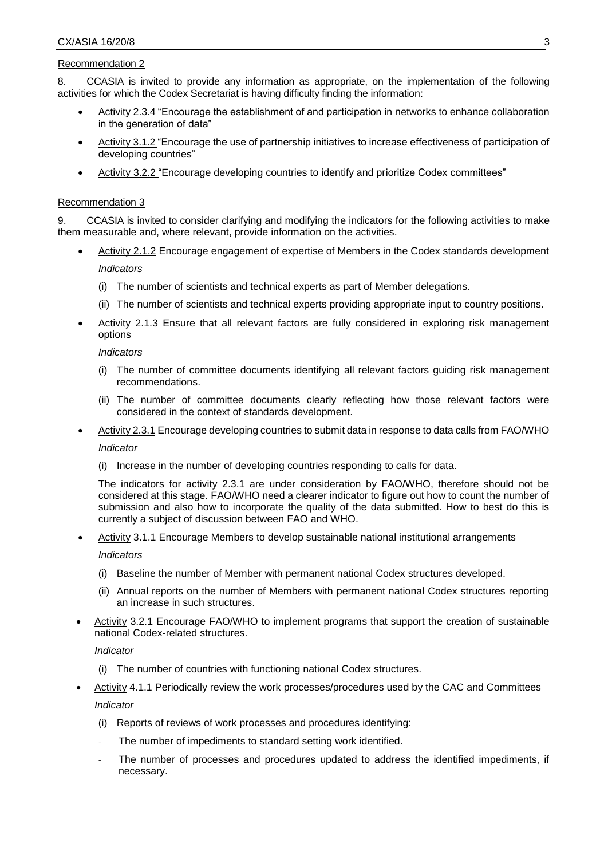## Recommendation 2

8. CCASIA is invited to provide any information as appropriate, on the implementation of the following activities for which the Codex Secretariat is having difficulty finding the information:

- Activity 2.3.4 "Encourage the establishment of and participation in networks to enhance collaboration in the generation of data"
- Activity 3.1.2 "Encourage the use of partnership initiatives to increase effectiveness of participation of developing countries"
- Activity 3.2.2 "Encourage developing countries to identify and prioritize Codex committees"

#### Recommendation 3

9. CCASIA is invited to consider clarifying and modifying the indicators for the following activities to make them measurable and, where relevant, provide information on the activities.

- Activity 2.1.2 Encourage engagement of expertise of Members in the Codex standards development *Indicators*
	-
	- (i) The number of scientists and technical experts as part of Member delegations.
	- (ii) The number of scientists and technical experts providing appropriate input to country positions.
- Activity 2.1.3 Ensure that all relevant factors are fully considered in exploring risk management options

#### *Indicators*

- (i) The number of committee documents identifying all relevant factors guiding risk management recommendations.
- (ii) The number of committee documents clearly reflecting how those relevant factors were considered in the context of standards development.
- Activity 2.3.1 Encourage developing countries to submit data in response to data calls from FAO/WHO

#### *Indicator*

(i) Increase in the number of developing countries responding to calls for data.

The indicators for activity 2.3.1 are under consideration by FAO/WHO, therefore should not be considered at this stage. FAO/WHO need a clearer indicator to figure out how to count the number of submission and also how to incorporate the quality of the data submitted. How to best do this is currently a subject of discussion between FAO and WHO.

Activity 3.1.1 Encourage Members to develop sustainable national institutional arrangements

## *Indicators*

- (i) Baseline the number of Member with permanent national Codex structures developed.
- (ii) Annual reports on the number of Members with permanent national Codex structures reporting an increase in such structures.
- Activity 3.2.1 Encourage FAO/WHO to implement programs that support the creation of sustainable national Codex-related structures.

## *Indicator*

- (i) The number of countries with functioning national Codex structures.
- Activity 4.1.1 Periodically review the work processes/procedures used by the CAC and Committees *Indicator*
	- (i) Reports of reviews of work processes and procedures identifying:
	- The number of impediments to standard setting work identified.
	- The number of processes and procedures updated to address the identified impediments, if necessary.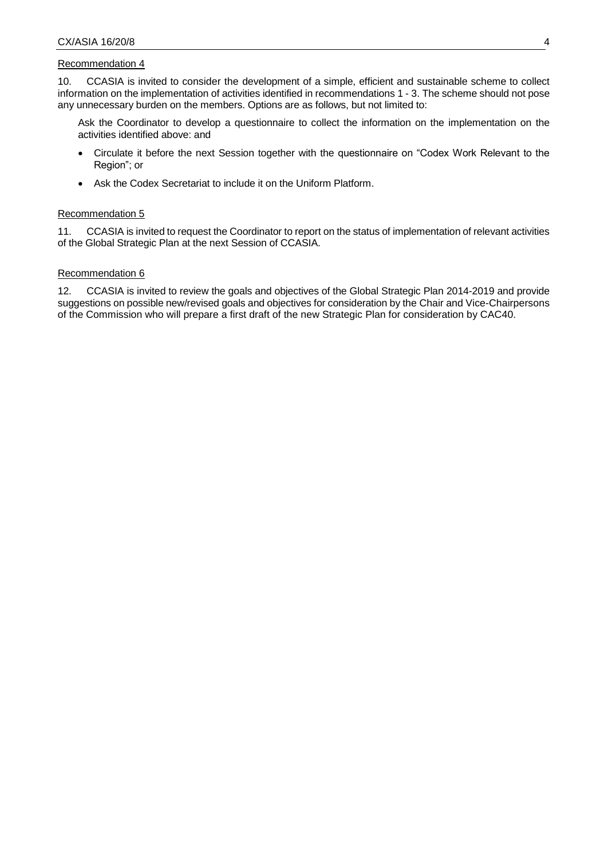## Recommendation 4

10. CCASIA is invited to consider the development of a simple, efficient and sustainable scheme to collect information on the implementation of activities identified in recommendations 1 - 3. The scheme should not pose any unnecessary burden on the members. Options are as follows, but not limited to:

Ask the Coordinator to develop a questionnaire to collect the information on the implementation on the activities identified above: and

- Circulate it before the next Session together with the questionnaire on "Codex Work Relevant to the Region"; or
- Ask the Codex Secretariat to include it on the Uniform Platform.

## Recommendation 5

11. CCASIA is invited to request the Coordinator to report on the status of implementation of relevant activities of the Global Strategic Plan at the next Session of CCASIA.

## Recommendation 6

12. CCASIA is invited to review the goals and objectives of the Global Strategic Plan 2014-2019 and provide suggestions on possible new/revised goals and objectives for consideration by the Chair and Vice-Chairpersons of the Commission who will prepare a first draft of the new Strategic Plan for consideration by CAC40.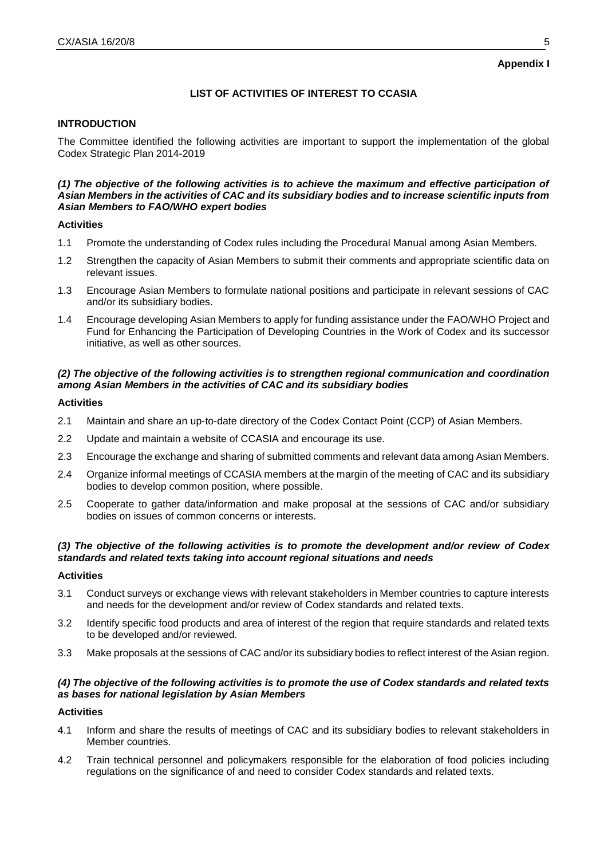# **LIST OF ACTIVITIES OF INTEREST TO CCASIA**

## **INTRODUCTION**

The Committee identified the following activities are important to support the implementation of the global Codex Strategic Plan 2014-2019

## *(1) The objective of the following activities is to achieve the maximum and effective participation of Asian Members in the activities of CAC and its subsidiary bodies and to increase scientific inputs from Asian Members to FAO/WHO expert bodies*

## **Activities**

- 1.1 Promote the understanding of Codex rules including the Procedural Manual among Asian Members.
- 1.2 Strengthen the capacity of Asian Members to submit their comments and appropriate scientific data on relevant issues.
- 1.3 Encourage Asian Members to formulate national positions and participate in relevant sessions of CAC and/or its subsidiary bodies.
- 1.4 Encourage developing Asian Members to apply for funding assistance under the FAO/WHO Project and Fund for Enhancing the Participation of Developing Countries in the Work of Codex and its successor initiative, as well as other sources.

## *(2) The objective of the following activities is to strengthen regional communication and coordination among Asian Members in the activities of CAC and its subsidiary bodies*

#### **Activities**

- 2.1 Maintain and share an up-to-date directory of the Codex Contact Point (CCP) of Asian Members.
- 2.2 Update and maintain a website of CCASIA and encourage its use.
- 2.3 Encourage the exchange and sharing of submitted comments and relevant data among Asian Members.
- 2.4 Organize informal meetings of CCASIA members at the margin of the meeting of CAC and its subsidiary bodies to develop common position, where possible.
- 2.5 Cooperate to gather data/information and make proposal at the sessions of CAC and/or subsidiary bodies on issues of common concerns or interests.

## *(3) The objective of the following activities is to promote the development and/or review of Codex standards and related texts taking into account regional situations and needs*

#### **Activities**

- 3.1 Conduct surveys or exchange views with relevant stakeholders in Member countries to capture interests and needs for the development and/or review of Codex standards and related texts.
- 3.2 Identify specific food products and area of interest of the region that require standards and related texts to be developed and/or reviewed.
- 3.3 Make proposals at the sessions of CAC and/or its subsidiary bodies to reflect interest of the Asian region.

## *(4) The objective of the following activities is to promote the use of Codex standards and related texts as bases for national legislation by Asian Members*

## **Activities**

- 4.1 Inform and share the results of meetings of CAC and its subsidiary bodies to relevant stakeholders in Member countries.
- 4.2 Train technical personnel and policymakers responsible for the elaboration of food policies including regulations on the significance of and need to consider Codex standards and related texts.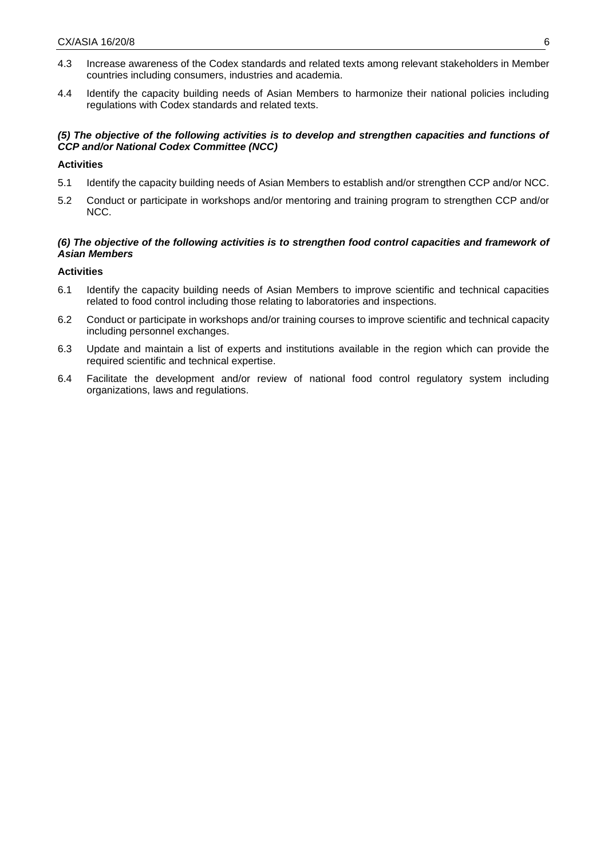- 4.3 Increase awareness of the Codex standards and related texts among relevant stakeholders in Member countries including consumers, industries and academia.
- 4.4 Identify the capacity building needs of Asian Members to harmonize their national policies including regulations with Codex standards and related texts.

## *(5) The objective of the following activities is to develop and strengthen capacities and functions of CCP and/or National Codex Committee (NCC)*

## **Activities**

- 5.1 Identify the capacity building needs of Asian Members to establish and/or strengthen CCP and/or NCC.
- 5.2 Conduct or participate in workshops and/or mentoring and training program to strengthen CCP and/or NCC.

## *(6) The objective of the following activities is to strengthen food control capacities and framework of Asian Members*

## **Activities**

- 6.1 Identify the capacity building needs of Asian Members to improve scientific and technical capacities related to food control including those relating to laboratories and inspections.
- 6.2 Conduct or participate in workshops and/or training courses to improve scientific and technical capacity including personnel exchanges.
- 6.3 Update and maintain a list of experts and institutions available in the region which can provide the required scientific and technical expertise.
- 6.4 Facilitate the development and/or review of national food control regulatory system including organizations, laws and regulations.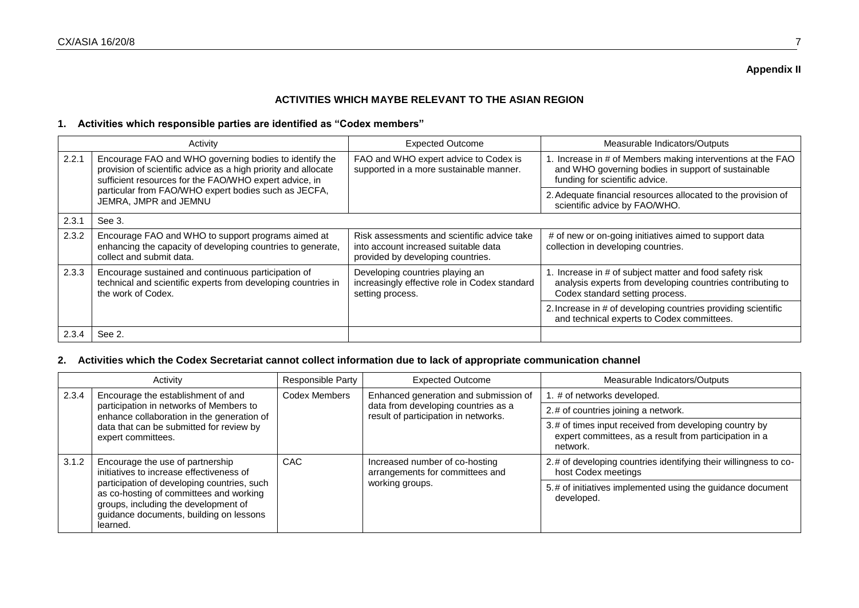## **Appendix II**

# **ACTIVITIES WHICH MAYBE RELEVANT TO THE ASIAN REGION**

## **1. Activities which responsible parties are identified as "Codex members"**

|       | Activity                                                                                                                                                                           | <b>Expected Outcome</b>                                                                                                  | Measurable Indicators/Outputs                                                                                                                         |
|-------|------------------------------------------------------------------------------------------------------------------------------------------------------------------------------------|--------------------------------------------------------------------------------------------------------------------------|-------------------------------------------------------------------------------------------------------------------------------------------------------|
| 2.2.1 | Encourage FAO and WHO governing bodies to identify the<br>provision of scientific advice as a high priority and allocate<br>sufficient resources for the FAO/WHO expert advice, in | FAO and WHO expert advice to Codex is<br>supported in a more sustainable manner.                                         | 1. Increase in # of Members making interventions at the FAO<br>and WHO governing bodies in support of sustainable<br>funding for scientific advice.   |
|       | particular from FAO/WHO expert bodies such as JECFA,<br>JEMRA, JMPR and JEMNU                                                                                                      |                                                                                                                          | 2. Adequate financial resources allocated to the provision of<br>scientific advice by FAO/WHO.                                                        |
| 2.3.1 | See 3.                                                                                                                                                                             |                                                                                                                          |                                                                                                                                                       |
| 2.3.2 | Encourage FAO and WHO to support programs aimed at<br>enhancing the capacity of developing countries to generate,<br>collect and submit data.                                      | Risk assessments and scientific advice take<br>into account increased suitable data<br>provided by developing countries. | # of new or on-going initiatives aimed to support data<br>collection in developing countries.                                                         |
| 2.3.3 | Encourage sustained and continuous participation of<br>technical and scientific experts from developing countries in<br>the work of Codex.                                         | Developing countries playing an<br>increasingly effective role in Codex standard<br>setting process.                     | Increase in # of subject matter and food safety risk<br>analysis experts from developing countries contributing to<br>Codex standard setting process. |
|       |                                                                                                                                                                                    |                                                                                                                          | 2. Increase in # of developing countries providing scientific<br>and technical experts to Codex committees.                                           |
| 2.3.4 | See 2.                                                                                                                                                                             |                                                                                                                          |                                                                                                                                                       |

## **2. Activities which the Codex Secretariat cannot collect information due to lack of appropriate communication channel**

| Activity |                                                                                                                                                                                       | Responsible Party | <b>Expected Outcome</b>                                                     | Measurable Indicators/Outputs                                                                                                |  |
|----------|---------------------------------------------------------------------------------------------------------------------------------------------------------------------------------------|-------------------|-----------------------------------------------------------------------------|------------------------------------------------------------------------------------------------------------------------------|--|
| 2.3.4    | Encourage the establishment of and                                                                                                                                                    | Codex Members     | Enhanced generation and submission of                                       | 1. # of networks developed.                                                                                                  |  |
|          | participation in networks of Members to<br>enhance collaboration in the generation of                                                                                                 |                   | data from developing countries as a<br>result of participation in networks. | 2.# of countries joining a network.                                                                                          |  |
|          | data that can be submitted for review by<br>expert committees.                                                                                                                        |                   |                                                                             | 3.# of times input received from developing country by<br>expert committees, as a result from participation in a<br>network. |  |
| 3.1.2    | Encourage the use of partnership<br>initiatives to increase effectiveness of                                                                                                          | CAC.              | Increased number of co-hosting<br>arrangements for committees and           | 2.# of developing countries identifying their willingness to co-<br>host Codex meetings                                      |  |
|          | participation of developing countries, such<br>as co-hosting of committees and working<br>groups, including the development of<br>guidance documents, building on lessons<br>learned. |                   | working groups.                                                             | 5.# of initiatives implemented using the guidance document<br>developed.                                                     |  |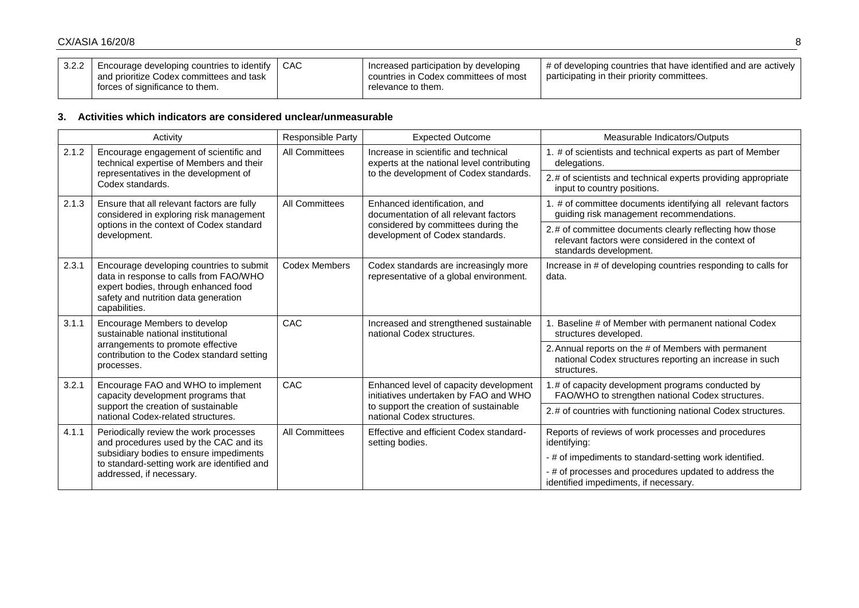| $3.2.2$ | Encourage developing countries to identify  <br>and prioritize Codex committees and task<br>forces of significance to them. | CAC | Increased participation by developing<br>countries in Codex committees of most<br>relevance to them. | # of developing countries that have identified and are actively<br>I participating in their priority committees. |
|---------|-----------------------------------------------------------------------------------------------------------------------------|-----|------------------------------------------------------------------------------------------------------|------------------------------------------------------------------------------------------------------------------|
|---------|-----------------------------------------------------------------------------------------------------------------------------|-----|------------------------------------------------------------------------------------------------------|------------------------------------------------------------------------------------------------------------------|

## **3. Activities which indicators are considered unclear/unmeasurable**

|       | Activity                                                                                                                                                                            | Responsible Party     | <b>Expected Outcome</b>                                                            | Measurable Indicators/Outputs                                                                                                           |
|-------|-------------------------------------------------------------------------------------------------------------------------------------------------------------------------------------|-----------------------|------------------------------------------------------------------------------------|-----------------------------------------------------------------------------------------------------------------------------------------|
| 2.1.2 | Encourage engagement of scientific and<br>technical expertise of Members and their                                                                                                  | <b>All Committees</b> | Increase in scientific and technical<br>experts at the national level contributing | 1. # of scientists and technical experts as part of Member<br>delegations.                                                              |
|       | representatives in the development of<br>Codex standards.                                                                                                                           |                       | to the development of Codex standards.                                             | 2.# of scientists and technical experts providing appropriate<br>input to country positions.                                            |
| 2.1.3 | Ensure that all relevant factors are fully<br>considered in exploring risk management                                                                                               | All Committees        | Enhanced identification, and<br>documentation of all relevant factors              | 1. # of committee documents identifying all relevant factors<br>guiding risk management recommendations.                                |
|       | options in the context of Codex standard<br>development.                                                                                                                            |                       | considered by committees during the<br>development of Codex standards.             | 2.# of committee documents clearly reflecting how those<br>relevant factors were considered in the context of<br>standards development. |
| 2.3.1 | Encourage developing countries to submit<br>data in response to calls from FAO/WHO<br>expert bodies, through enhanced food<br>safety and nutrition data generation<br>capabilities. | <b>Codex Members</b>  | Codex standards are increasingly more<br>representative of a global environment.   | Increase in # of developing countries responding to calls for<br>data.                                                                  |
| 3.1.1 | Encourage Members to develop<br>sustainable national institutional                                                                                                                  | CAC                   | Increased and strengthened sustainable<br>national Codex structures.               | Baseline # of Member with permanent national Codex<br>structures developed.                                                             |
|       | arrangements to promote effective<br>contribution to the Codex standard setting<br>processes.                                                                                       |                       |                                                                                    | 2. Annual reports on the # of Members with permanent<br>national Codex structures reporting an increase in such<br>structures.          |
| 3.2.1 | Encourage FAO and WHO to implement<br>capacity development programs that                                                                                                            | CAC                   | Enhanced level of capacity development<br>initiatives undertaken by FAO and WHO    | .# of capacity development programs conducted by<br>FAO/WHO to strengthen national Codex structures.                                    |
|       | support the creation of sustainable<br>national Codex-related structures.                                                                                                           |                       | to support the creation of sustainable<br>national Codex structures.               | 2.# of countries with functioning national Codex structures.                                                                            |
| 4.1.1 | Periodically review the work processes<br>and procedures used by the CAC and its                                                                                                    | All Committees        | Effective and efficient Codex standard-<br>setting bodies.                         | Reports of reviews of work processes and procedures<br>identifying:                                                                     |
|       | subsidiary bodies to ensure impediments<br>to standard-setting work are identified and                                                                                              |                       |                                                                                    | - # of impediments to standard-setting work identified.                                                                                 |
|       | addressed, if necessary.                                                                                                                                                            |                       |                                                                                    | - # of processes and procedures updated to address the<br>identified impediments, if necessary.                                         |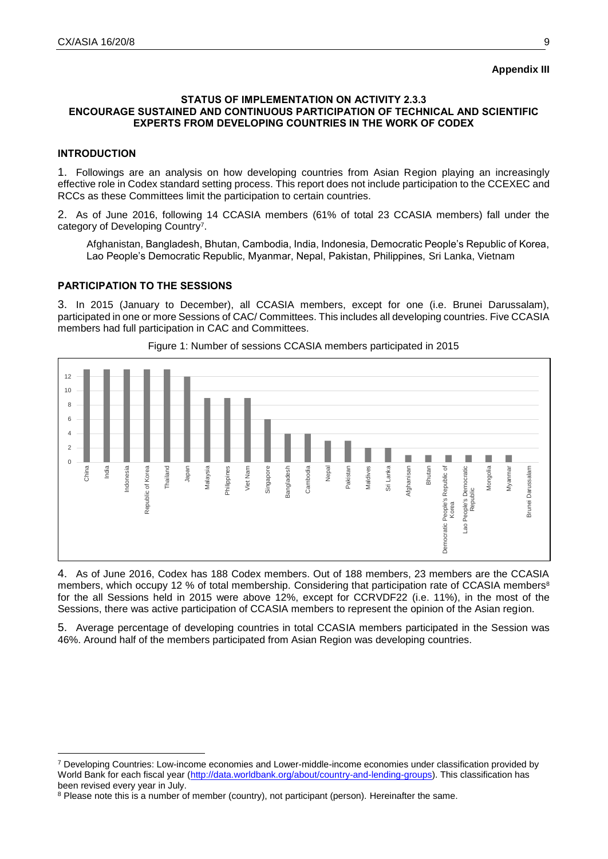## **Appendix III**

## **STATUS OF IMPLEMENTATION ON ACTIVITY 2.3.3 ENCOURAGE SUSTAINED AND CONTINUOUS PARTICIPATION OF TECHNICAL AND SCIENTIFIC EXPERTS FROM DEVELOPING COUNTRIES IN THE WORK OF CODEX**

#### **INTRODUCTION**

-

1. Followings are an analysis on how developing countries from Asian Region playing an increasingly effective role in Codex standard setting process. This report does not include participation to the CCEXEC and RCCs as these Committees limit the participation to certain countries.

2. As of June 2016, following 14 CCASIA members (61% of total 23 CCASIA members) fall under the category of Developing Country<sup>7</sup>.

Afghanistan, Bangladesh, Bhutan, Cambodia, India, Indonesia, Democratic People's Republic of Korea, Lao People's Democratic Republic, Myanmar, Nepal, Pakistan, Philippines, Sri Lanka, Vietnam

## **PARTICIPATION TO THE SESSIONS**

3. In 2015 (January to December), all CCASIA members, except for one (i.e. Brunei Darussalam), participated in one or more Sessions of CAC/ Committees. This includes all developing countries. Five CCASIA members had full participation in CAC and Committees.



Figure 1: Number of sessions CCASIA members participated in 2015

4. As of June 2016, Codex has 188 Codex members. Out of 188 members, 23 members are the CCASIA members, which occupy 12 % of total membership. Considering that participation rate of CCASIA members<sup>8</sup> for the all Sessions held in 2015 were above 12%, except for CCRVDF22 (i.e. 11%), in the most of the Sessions, there was active participation of CCASIA members to represent the opinion of the Asian region.

5. Average percentage of developing countries in total CCASIA members participated in the Session was 46%. Around half of the members participated from Asian Region was developing countries.

<sup>7</sup> Developing Countries: Low-income economies and Lower-middle-income economies under classification provided by World Bank for each fiscal year [\(http://data.worldbank.org/about/country-and-lending-groups\)](http://data.worldbank.org/about/country-and-lending-groups). This classification has been revised every year in July.

<sup>&</sup>lt;sup>8</sup> Please note this is a number of member (country), not participant (person). Hereinafter the same.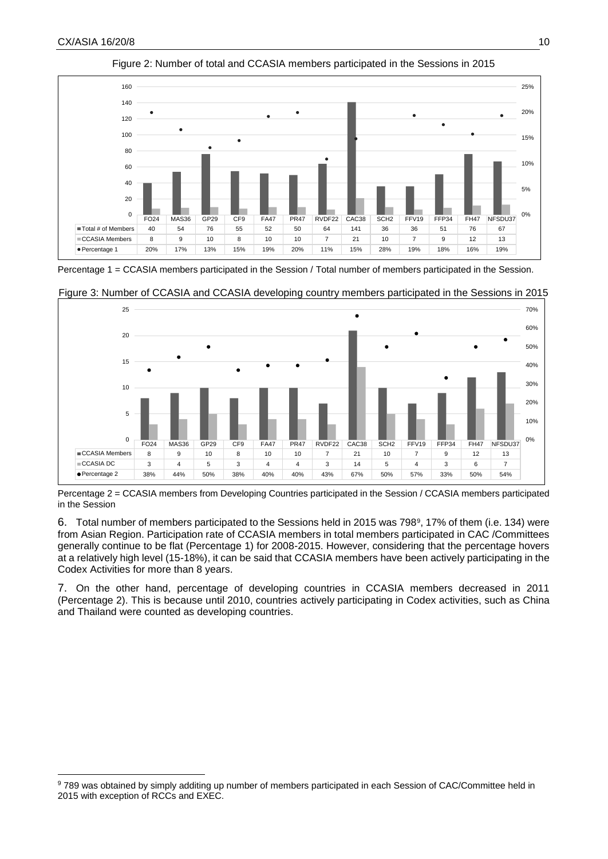1



Figure 2: Number of total and CCASIA members participated in the Sessions in 2015

Percentage 1 = CCASIA members participated in the Session / Total number of members participated in the Session.



Figure 3: Number of CCASIA and CCASIA developing country members participated in the Sessions in 2015

Percentage 2 = CCASIA members from Developing Countries participated in the Session / CCASIA members participated in the Session

6. Total number of members participated to the Sessions held in 2015 was 798<sup>9</sup>, 17% of them (i.e. 134) were from Asian Region. Participation rate of CCASIA members in total members participated in CAC /Committees generally continue to be flat (Percentage 1) for 2008-2015. However, considering that the percentage hovers at a relatively high level (15-18%), it can be said that CCASIA members have been actively participating in the Codex Activities for more than 8 years.

7. On the other hand, percentage of developing countries in CCASIA members decreased in 2011 (Percentage 2). This is because until 2010, countries actively participating in Codex activities, such as China and Thailand were counted as developing countries.

<sup>9</sup> 789 was obtained by simply additing up number of members participated in each Session of CAC/Committee held in 2015 with exception of RCCs and EXEC.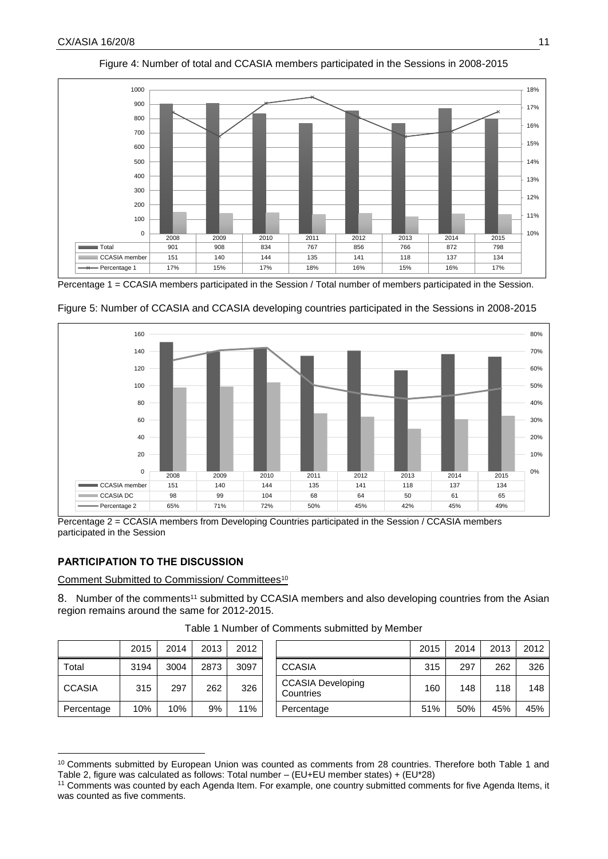

Figure 4: Number of total and CCASIA members participated in the Sessions in 2008-2015

Percentage 1 = CCASIA members participated in the Session / Total number of members participated in the Session.



Figure 5: Number of CCASIA and CCASIA developing countries participated in the Sessions in 2008-2015

Percentage 2 = CCASIA members from Developing Countries participated in the Session / CCASIA members participated in the Session

## **PARTICIPATION TO THE DISCUSSION**

-

Comment Submitted to Commission/ Committees<sup>10</sup>

8. Number of the comments<sup>11</sup> submitted by CCASIA members and also developing countries from the Asian region remains around the same for 2012-2015.

|               | 2015 | 2014 | 2013 | 2012 |                                       | 2015 | 2014 | 2013 | 2012 |
|---------------|------|------|------|------|---------------------------------------|------|------|------|------|
| Total         | 3194 | 3004 | 2873 | 3097 | <b>CCASIA</b>                         | 315  | 297  | 262  | 326  |
| <b>CCASIA</b> | 315  | 297  | 262  | 326  | <b>CCASIA Developing</b><br>Countries |      | 148  | 118  | 148  |
| Percentage    | 10%  | 10%  | 9%   | 11%  | Percentage                            | 51%  | 50%  | 45%  | 45%  |

Table 1 Number of Comments submitted by Member

<sup>10</sup> Comments submitted by European Union was counted as comments from 28 countries. Therefore both Table 1 and Table 2, figure was calculated as follows: Total number – (EU+EU member states) + (EU\*28)

<sup>11</sup> Comments was counted by each Agenda Item. For example, one country submitted comments for five Agenda Items, it was counted as five comments.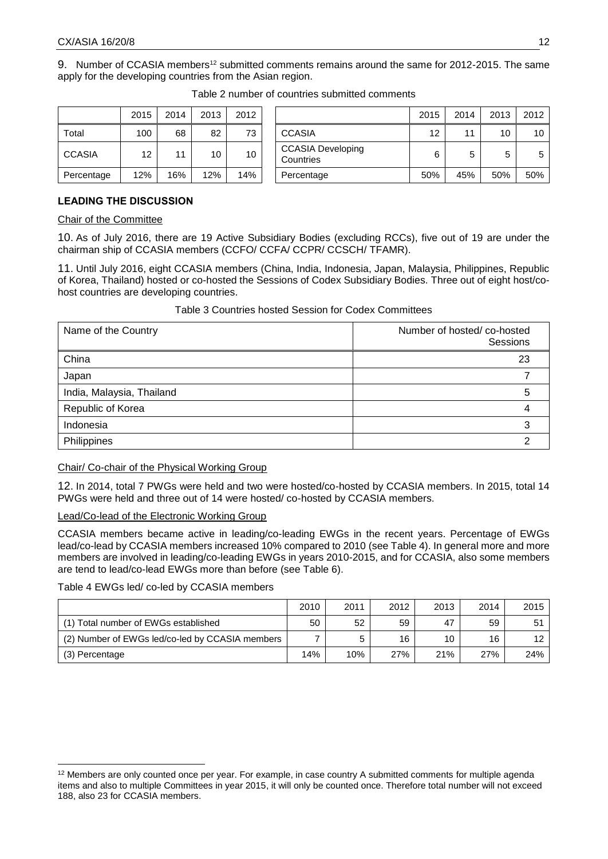9. Number of CCASIA members<sup>12</sup> submitted comments remains around the same for 2012-2015. The same apply for the developing countries from the Asian region.

|               | 2015 | 2014 | 2013 | 2012 |                                       |
|---------------|------|------|------|------|---------------------------------------|
| Total         | 100  | 68   | 82   | 73   | <b>CCASIA</b>                         |
| <b>CCASIA</b> | 12   | 11   | 10   | 10   | <b>CCASIA Developing</b><br>Countries |
| Percentage    | 12%  | 16%  | 12%  | 14%  | Percentage                            |

| Table 2 number of countries submitted comments |  |  |
|------------------------------------------------|--|--|
|                                                |  |  |

|               | 2015 | 2014 | 2013 | 2012 |                                       | 2015 | 2014 | 2013 | 2012 |
|---------------|------|------|------|------|---------------------------------------|------|------|------|------|
| Total         | 100  | 68   | 82   | 73   | <b>CCASIA</b>                         | 12   | 11   | 10   | 10   |
| <b>CCASIA</b> | 12   | 11   | 10   | 10   | <b>CCASIA Developing</b><br>Countries | 6    | 5    | 5    | 5    |
| Percentage    | 12%  | 16%  | 12%  | 14%  | Percentage                            | 50%  | 45%  | 50%  | 50%  |

## **LEADING THE DISCUSSION**

#### Chair of the Committee

10. As of July 2016, there are 19 Active Subsidiary Bodies (excluding RCCs), five out of 19 are under the chairman ship of CCASIA members (CCFO/ CCFA/ CCPR/ CCSCH/ TFAMR).

11. Until July 2016, eight CCASIA members (China, India, Indonesia, Japan, Malaysia, Philippines, Republic of Korea, Thailand) hosted or co-hosted the Sessions of Codex Subsidiary Bodies. Three out of eight host/cohost countries are developing countries.

## Table 3 Countries hosted Session for Codex Committees

| Name of the Country       | Number of hosted/co-hosted<br>Sessions |
|---------------------------|----------------------------------------|
| China                     | 23                                     |
| Japan                     |                                        |
| India, Malaysia, Thailand | b                                      |
| Republic of Korea         |                                        |
| Indonesia                 |                                        |
| Philippines               |                                        |

#### Chair/ Co-chair of the Physical Working Group

12. In 2014, total 7 PWGs were held and two were hosted/co-hosted by CCASIA members. In 2015, total 14 PWGs were held and three out of 14 were hosted/ co-hosted by CCASIA members.

## Lead/Co-lead of the Electronic Working Group

CCASIA members became active in leading/co-leading EWGs in the recent years. Percentage of EWGs lead/co-lead by CCASIA members increased 10% compared to 2010 (see Table 4). In general more and more members are involved in leading/co-leading EWGs in years 2010-2015, and for CCASIA, also some members are tend to lead/co-lead EWGs more than before (see Table 6).

#### Table 4 EWGs led/ co-led by CCASIA members

-

|                                                 | 2010 | 2011 | 2012 | 2013 | 2014 | 2015 |
|-------------------------------------------------|------|------|------|------|------|------|
| (1) Total number of EWGs established            | 50   | 52   | 59   | 47   | 59   | 51   |
| (2) Number of EWGs led/co-led by CCASIA members |      | 5    | 16   | 10   | 16   | 12   |
| (3) Percentage                                  | 14%  | 10%  | 27%  | 21%  | 27%  | 24%  |

<sup>&</sup>lt;sup>12</sup> Members are only counted once per year. For example, in case country A submitted comments for multiple agenda items and also to multiple Committees in year 2015, it will only be counted once. Therefore total number will not exceed 188, also 23 for CCASIA members.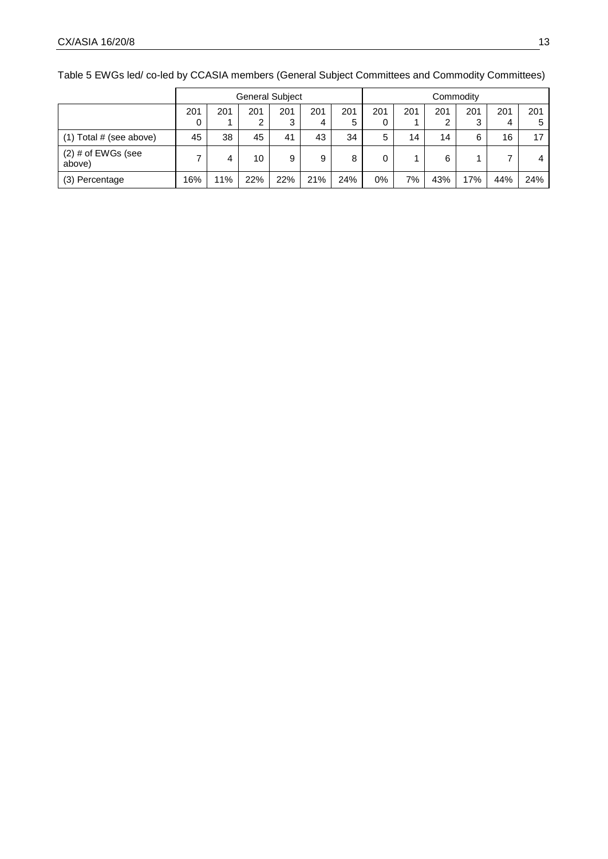General Subject **Commodity**  (1) Total # (see above)  $\begin{vmatrix} 45 & 38 & 45 & 41 & 43 & 34 & 5 & 14 & 14 & 6 & 16 & 17 \end{vmatrix}$ (2) # of EWGs (see<br>above) above)  $7 | 4 | 10 | 9 | 9 | 8 | 0 | 1 | 6 | 1 | 7 | 4$ (3) Percentage 16% 11% 22% 22% 21% 24% 0% 7% 43% 17% 44% 24%

Table 5 EWGs led/ co-led by CCASIA members (General Subject Committees and Commodity Committees)